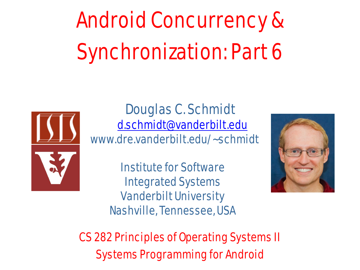# Android Concurrency & Synchronization: Part 6



Douglas C. Schmidt [d.schmidt@vanderbilt.edu](mailto:d.schmidt@vanderbilt.edu) www.dre.vanderbilt.edu/~schmidt

> Institute for Software Integrated Systems Vanderbilt University Nashville, Tennessee, USA



CS 282 Principles of Operating Systems II Systems Programming for Android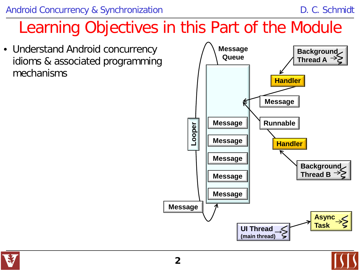### Learning Objectives in this Part of the Module

• Understand Android concurrency idioms & associated programming mechanisms



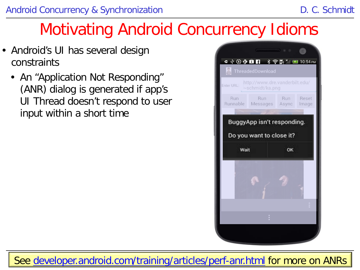### Motivating Android Concurrency Idioms

- Android's UI has several design constraints
	- An "Application Not Responding" (ANR) dialog is generated if app's UI Thread doesn't respond to user input within a short time

| S<br>ThreadedDownload<br>Enter URI - |      | http://www.dre.vanderbilt.edu/<br>~schmidt/ka.png |            |    |                |
|--------------------------------------|------|---------------------------------------------------|------------|----|----------------|
| Run                                  |      | <b>Run</b><br>Runnable Messages Async             | <b>Bun</b> |    | Reset<br>Image |
|                                      |      | BuggyApp isn't responding.                        |            |    |                |
|                                      |      |                                                   |            |    |                |
|                                      |      | Do you want to close it?                          |            |    |                |
|                                      | Wait |                                                   |            | OK |                |
|                                      |      |                                                   |            |    |                |
|                                      |      |                                                   |            |    |                |
|                                      |      |                                                   |            |    |                |

**3** See [developer.android.com/training/articles/perf-anr.html](http://developer.android.com/training/articles/perf-anr.html) for more on ANRs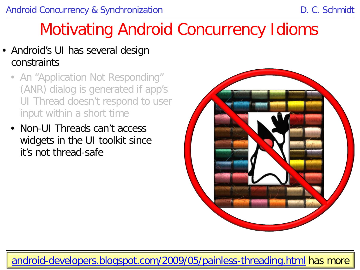### Motivating Android Concurrency Idioms

- Android's UI has several design constraints
	- An "Application Not Responding" (ANR) dialog is generated if app's UI Thread doesn't respond to user input within a short time
	- Non-UI Threads can't access widgets in the UI toolkit since it's not thread-safe



**4** [android-developers.blogspot.com/2009/05/painless-threading.html](http://android-developers.blogspot.com/2009/05/painless-threading.html) has more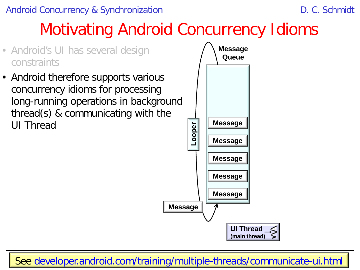

**5** See [developer.android.com/training/multiple-threads/communicate-ui.html](https://developer.android.com/training/multiple-threads/communicate-ui.html)

**(main thread)**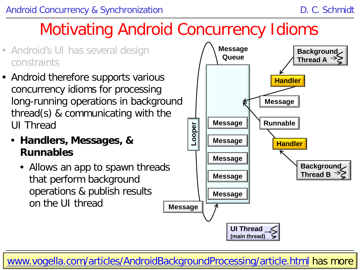### Motivating Android Concurrency Idioms



- Android therefore supports various concurrency idioms for processing long-running operations in background thread(s) & communicating with the UI Thread
	- **Handlers, Messages, & Runnables**
		- Allows an app to spawn threads that perform background operations & publish results on the UI thread



[www.vogella.com/articles/AndroidBackgroundProcessing/article.html](http://www.vogella.com/articles/AndroidBackgroundProcessing/article.html) has more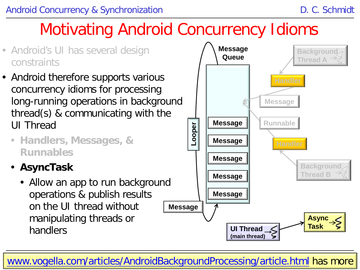### Motivating Android Concurrency Idioms



**7** [www.vogella.com/articles/AndroidBackgroundProcessing/article.html](http://www.vogella.com/articles/AndroidBackgroundProcessing/article.html) has more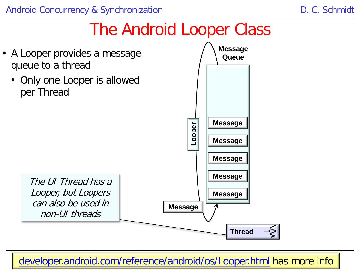

developer.android.com/reference/android/os/Looper.html has more info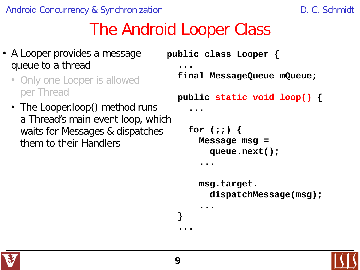- A Looper provides a message queue to a thread
	- Only one Looper is allowed per Thread
	- The Looper.loop() method runs a Thread's main event loop, which waits for Messages & dispatches them to their Handlers

```
public class Looper {
 ...
   final MessageQueue mQueue;
   public static void loop() {
.....
     for (;;) {
       Message msg = 
         queue.next();
 .....
       msg.target.
         dispatchMessage(msg);
 .....
  }
  ...
```


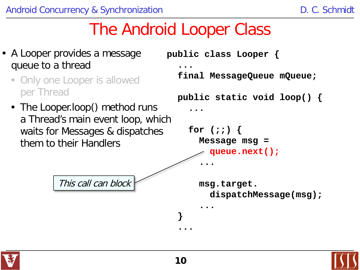- A Looper provides a message queue to a thread
	- Only one Looper is allowed per Thread
	- The Looper.loop() method runs a Thread's main event loop, which waits for Messages & dispatches them to their Handlers

This call can block

```
public class Looper {
 ...
   final MessageQueue mQueue;
   public static void loop() {
.....
     for (;;) {
       Message msg = 
         queue.next();
  ...
       msg.target.
         dispatchMessage(msg);
 .....
  }
```


**...**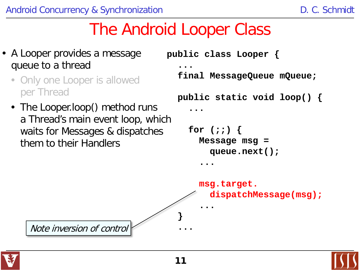- A Looper provides a message queue to a thread
	- Only one Looper is allowed per Thread
	- The Looper.loop() method runs a Thread's main event loop, which waits for Messages & dispatches them to their Handlers

```
public class Looper {
 ...
   final MessageQueue mQueue;
   public static void loop() {
.....
     for (;;) {
       Message msg = 
         queue.next();
 .....
```


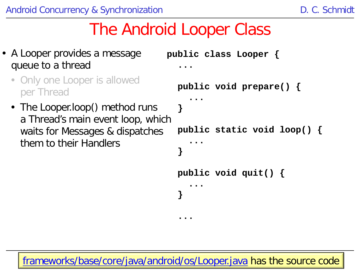- A Looper provides a message queue to a thread
	- Only one Looper is allowed per Thread
	- The Looper.loop() method runs a Thread's main event loop, which waits for Messages & dispatches them to their Handlers

```
public class Looper {
 ...
   public void prepare() { 
... ...
   }
   public static void loop() { 
... ...
 }
  public void quit() {
.....
  }
 ...
```
[frameworks/base/core/java/android/os/Looper.java](http://frameworks/base/core/java/android/os) has the source code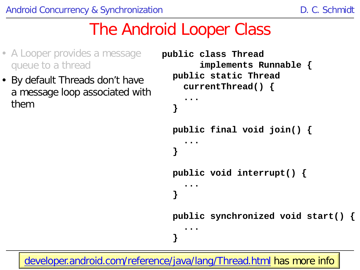- A Looper provides a message queue to a thread
- By default Threads don't have a message loop associated with them

```
public class Thread 
        implements Runnable {
   public static Thread 
     currentThread() {
  ...
  }
   public final void join() {
  ...
  }
   public void interrupt() {
.....
  }
   public synchronized void start() {
```
**13** [developer.android.com/reference/java/lang/Thread.html](http://developer.android.com/reference/java/lang/Thread.html) has more info

**}**

 **...**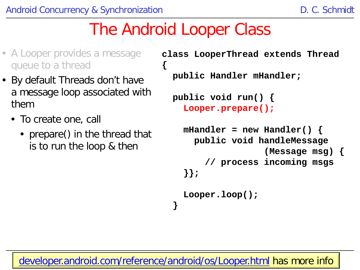**{**

- A Looper provides a message queue to a thread
- By default Threads don't have a message loop associated with them
	- To create one, call
		- prepare() in the thread that is to run the loop & then

```
class LooperThread extends Thread 
  public Handler mHandler;
  public void run() {
    Looper.prepare();
    mHandler = new Handler() {
      public void handleMessage
                     (Message msg) {
         // process incoming msgs
     }};
    Looper.loop();
  }
```
**14** [developer.android.com/reference/android/os/Looper.html](http://developer.android.com/reference/android/os/Looper.html) has more info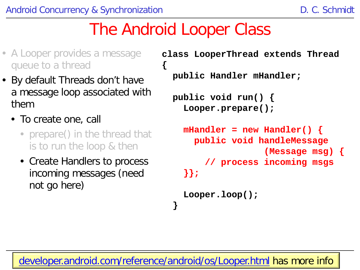**{**

- A Looper provides a message queue to a thread
- By default Threads don't have a message loop associated with them
	- To create one, call
		- prepare() in the thread that is to run the loop & then
		- Create Handlers to process incoming messages (need not go here)

```
class LooperThread extends Thread 
  public Handler mHandler;
  public void run() {
    Looper.prepare();
    mHandler = new Handler() {
      public void handleMessage
                     (Message msg) {
         // process incoming msgs
     }};
```

```
Looper.loop();
```
**15** [developer.android.com/reference/android/os/Looper.html](http://developer.android.com/reference/android/os/Looper.html) has more info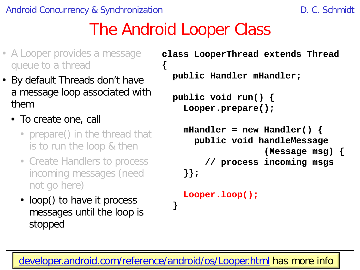**{**

- A Looper provides a message queue to a thread
- By default Threads don't have a message loop associated with them
	- To create one, call
		- prepare() in the thread that is to run the loop & then
		- Create Handlers to process incoming messages (need not go here)
		- loop() to have it process messages until the loop is stopped

```
class LooperThread extends Thread 
  public Handler mHandler;
  public void run() {
    Looper.prepare();
    mHandler = new Handler() {
      public void handleMessage
                     (Message msg) {
         // process incoming msgs
     }};
```

```
Looper.loop();
```
**16** [developer.android.com/reference/android/os/Looper.html](http://developer.android.com/reference/android/os/Looper.html) has more info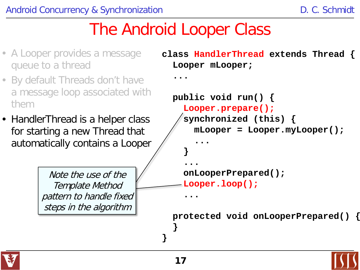- A Looper provides a message queue to a thread
- By default Threads don't have a message loop associated with them
- HandlerThread is a helper class for starting a new Thread that automatically contains a Looper

Note the use of the Template Method pattern to handle fixed steps in the algorithm

**class HandlerThread extends Thread { Looper mLooper;**

```
...
```

```
 public void run() {
    Looper.prepare();
    synchronized (this) {
      mLooper = Looper.myLooper();
 ... 
 }
.....
    onLooperPrepared();
    Looper.loop();
  ...
```
 **protected void onLooperPrepared() {**



 **}**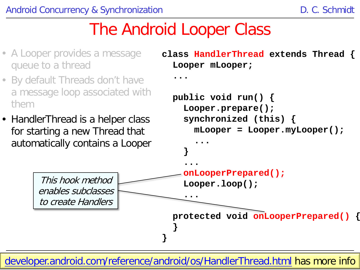- A Looper provides a message queue to a thread
- By default Threads don't have a message loop associated with them
- HandlerThread is a helper class for starting a new Thread that automatically contains a Looper

This hook method

enables subclasses

to create Handlers

```
class HandlerThread extends Thread {
  Looper mLooper;
```

```
...
```

```
 public void run() {
     Looper.prepare();
     synchronized (this) {
      mLooper = Looper.myLooper();
... ...
 }
.....
     onLooperPrepared();
    Looper.loop();
  ...
  protected void onLooperPrepared() {
```
[developer.android.com/reference/android/](http://developer.android.com/reference/android/os/HandlerThread.html)[os/HandlerThread.html](http://developer.android.com/reference/android/os/HandlerThread.html) has more info

 **}**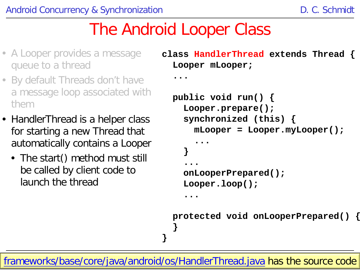- A Looper provides a message queue to a thread
- By default Threads don't have a message loop associated with them
- HandlerThread is a helper class for starting a new Thread that automatically contains a Looper
	- The start() method must still be called by client code to launch the thread

```
class HandlerThread extends Thread {
  Looper mLooper;
```

```
...
```

```
 public void run() {
     Looper.prepare();
     synchronized (this) {
      mLooper = Looper.myLooper();
... ...
 }
.....
     onLooperPrepared();
     Looper.loop();
  ...
```

```
 protected void onLooperPrepared() {
 }
```
[frameworks/base/core/java/android/os/HandlerThread.java](http://frameworks/base/core/java/android/os) has the source code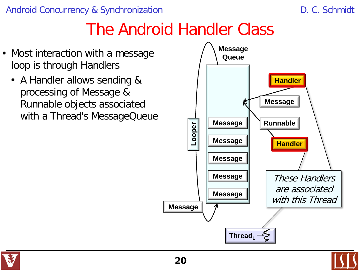- Most interaction with a message loop is through Handlers
	- A Handler allows sending & processing of Message & Runnable objects associated with a Thread's MessageQueue



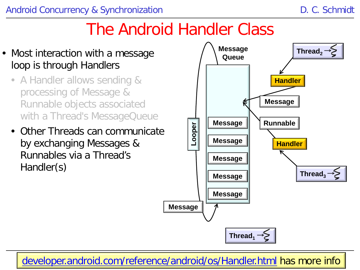- Most interaction with a message loop is through Handlers
	- A Handler allows sending & processing of Message & Runnable objects associated with a Thread's MessageQueue
	- Other Threads can communicate by exchanging Messages & Runnables via a Thread's Handler(s)



**21** [developer.android.com/reference/android/os/Handler.html](http://developer.android.com/reference/android/os/HandlerThread.html) has more info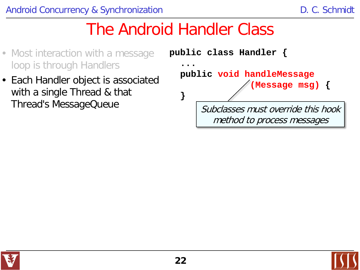- Most interaction with a message loop is through Handlers
- Each Handler object is associated with a single Thread & that Thread's MessageQueue



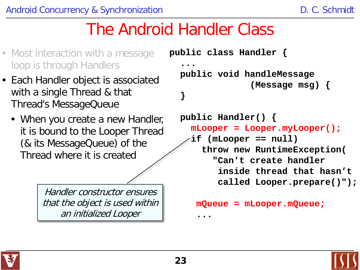- Most interaction with a message loop is through Handlers
- Each Handler object is associated with a single Thread & that Thread's MessageQueue
	- When you create a new Handler, it is bound to the Looper Thread (& its MessageQueue) of the Thread where it is created

Handler constructor ensures that the object is used within an initialized Looper

```
public class Handler {
  ...
   public void handleMessage
                 (Message msg) {
  }
   public Handler() {
     mLooper = Looper.myLooper();
     if (mLooper == null) 
       throw new RuntimeException(
          "Can't create handler 
           inside thread that hasn't 
          called Looper.prepare()");
```

```
 mQueue = mLooper.mQueue;
```


**......**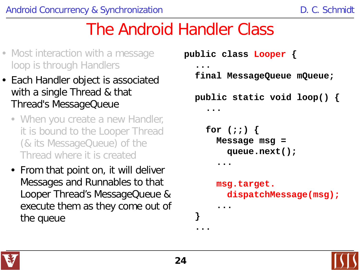- Most interaction with a message loop is through Handlers
- Each Handler object is associated with a single Thread & that Thread's MessageQueue
	- When you create a new Handler, it is bound to the Looper Thread (& its MessageQueue) of the Thread where it is created
	- From that point on, it will deliver Messages and Runnables to that Looper Thread's MessageQueue & execute them as they come out of the queue

```
public class Looper {
 ...
   final MessageQueue mQueue;
   public static void loop() {
.....
     for (;;) {
       Message msg = 
         queue.next();
 .....
       msg.target.
         dispatchMessage(msg);
 .....
  }
  ...
```


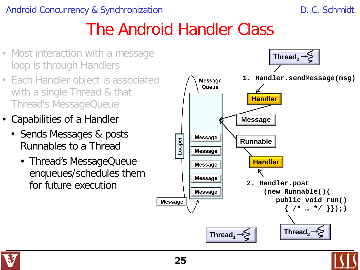- Most interaction with a message loop is through Handlers
- Each Handler object is associated with a single Thread & that Thread's MessageQueue
- Capabilities of a Handler
	- Sends Messages & posts Runnables to a Thread
		- Thread's MessageQueue enqueues/schedules them for future execution





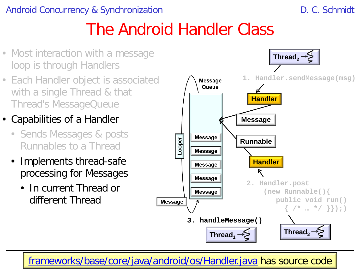- Most interaction with a message loop is through Handlers
- Each Handler object is associated with a single Thread & that Thread's MessageQueue
- Capabilities of a Handler
	- Sends Messages & posts Runnables to a Thread
	- Implements thread-safe processing for Messages
		- In current Thread or different Thread



**26** [frameworks/base/core/java/android/os/Handler.java](http://frameworks/base/core/java/android/os/Handler.java) has source code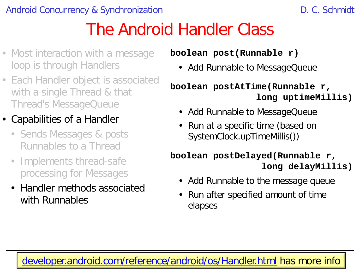- Most interaction with a message loop is through Handlers
- Each Handler object is associated with a single Thread & that Thread's MessageQueue
- Capabilities of a Handler
	- Sends Messages & posts Runnables to a Thread
	- Implements thread-safe processing for Messages
	- Handler methods associated with Runnables

**boolean post(Runnable r)**

• Add Runnable to MessageQueue

#### **boolean postAtTime(Runnable r, long uptimeMillis)**

- Add Runnable to MessageQueue
- Run at a specific time (based on SystemClock.upTimeMillis())

#### **boolean postDelayed(Runnable r, long delayMillis)**

- Add Runnable to the message queue
- Run after specified amount of time elapses

### **27** [developer.android.com/reference/android/os/Handler.html](http://developer.android.com/reference/android/os/HandlerThread.html) has more info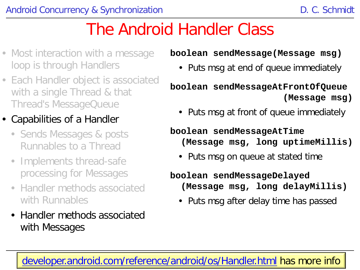- Most interaction with a message loop is through Handlers
- Each Handler object is associated with a single Thread & that Thread's MessageQueue

### • Capabilities of a Handler

- Sends Messages & posts Runnables to a Thread
- Implements thread-safe processing for Messages
- Handler methods associated with Runnables
- Handler methods associated with Messages

#### **boolean sendMessage(Message msg)**

• Puts msg at end of queue immediately

#### **boolean sendMessageAtFrontOfQueue (Message msg)**

• Puts msg at front of queue immediately

#### **boolean sendMessageAtTime (Message msg, long uptimeMillis)**

• Puts msg on queue at stated time

#### **boolean sendMessageDelayed (Message msg, long delayMillis)**

• Puts msg after delay time has passed

#### **28** [developer.android.com/reference/android/os/Handler.html](http://developer.android.com/reference/android/os/HandlerThread.html) has more info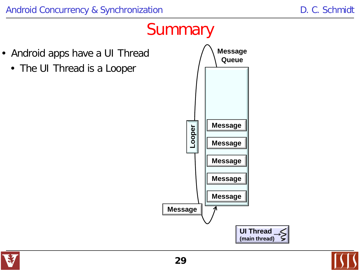- Android apps have a UI Thread
	- The UI Thread is a Looper



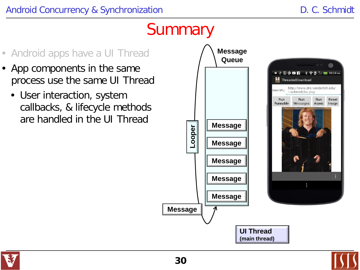

- App components in the same process use the same UI Thread
	- User interaction, system callbacks, & lifecycle methods are handled in the UI Thread



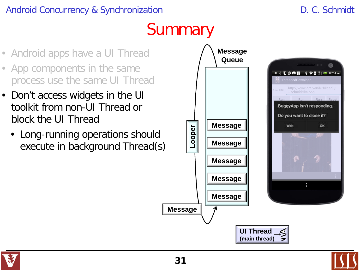- Android apps have a UI Thread
- App components in the same process use the same UI Thread
- Don't access widgets in the UI toolkit from non-UI Thread or block the UI Thread
	- Long-running operations should execute in background Thread(s)





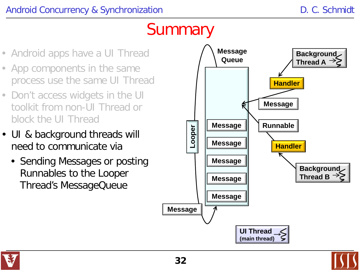- Android apps have a UI Thread
- App components in the same process use the same UI Thread
- Don't access widgets in the UI toolkit from non-UI Thread or block the UI Thread
- UI & background threads will need to communicate via
	- Sending Messages or posting Runnables to the Looper Thread's MessageQueue



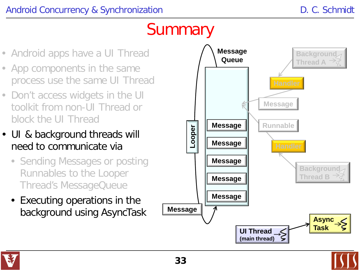- Android apps have a UI Thread
- App components in the same process use the same UI Thread
- Don't access widgets in the UI toolkit from non-UI Thread or block the UI Thread
- UI & background threads will need to communicate via
	- Sending Messages or posting Runnables to the Looper Thread's MessageQueue
	- Executing operations in the background using AsyncTask



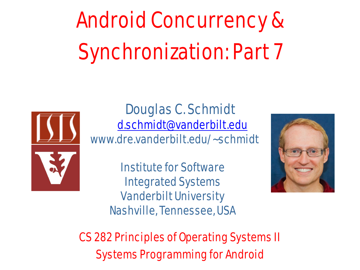# Android Concurrency & Synchronization: Part 7



Douglas C. Schmidt [d.schmidt@vanderbilt.edu](mailto:d.schmidt@vanderbilt.edu) www.dre.vanderbilt.edu/~schmidt

> Institute for Software Integrated Systems Vanderbilt University Nashville, Tennessee, USA



CS 282 Principles of Operating Systems II Systems Programming for Android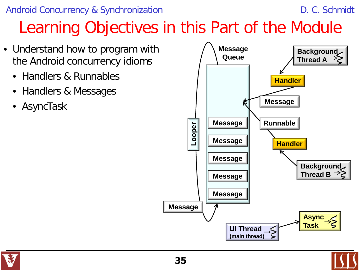- Understand how to program with the Android concurrency idioms
	- Handlers & Runnables
	- Handlers & Messages
	- AsyncTask



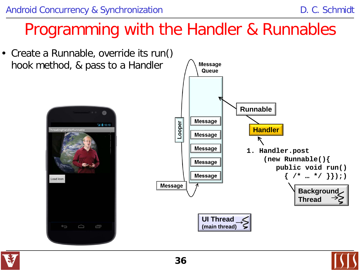

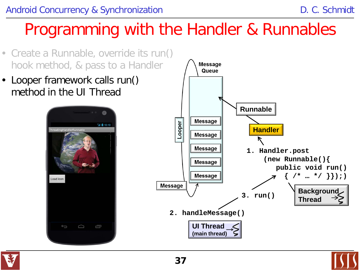- Create a Runnable, override its run() hook method, & pass to a Handler
- Looper framework calls run() method in the UI Thread





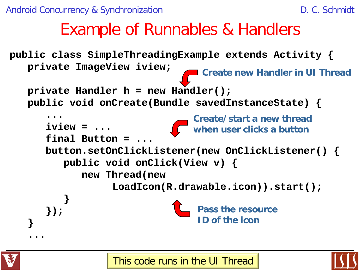### Example of Runnables & Handlers

**public class SimpleThreadingExample extends Activity { private ImageView iview; private Handler h = new Handler(); public void onCreate(Bundle savedInstanceState) { ......... iview = ... final Button = ... button.setOnClickListener(new OnClickListener() { public void onClick(View v) { new Thread(new LoadIcon(R.drawable.icon)).start(); } }); } ... Create/start a new thread when user clicks a button Pass the resource ID of the icon Create new Handler in UI Thread**



**38** This code runs in the UI Thread

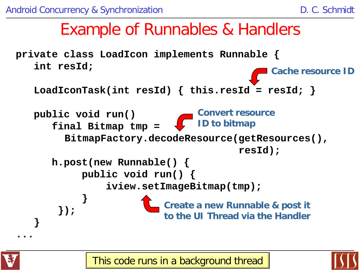### Example of Runnables & Handlers





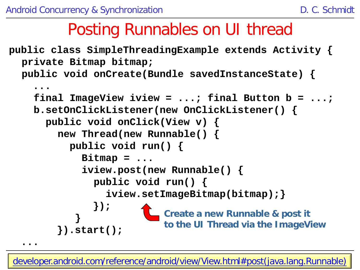### Posting Runnables on UI thread

```
public class SimpleThreadingExample extends Activity {
  private Bitmap bitmap;
  public void onCreate(Bundle savedInstanceState) {
```

```
 ...
     final ImageView iview = ...; final Button b = ...;
     b.setOnClickListener(new OnClickListener() {
       public void onClick(View v) {
         new Thread(new Runnable() {
           public void run() {
             Bitmap = ...
              iview.post(new Runnable() {
                public void run() {
                  iview.setImageBitmap(bitmap);}
               });
 }
         }).start();
 ...
                           Create a new Runnable & post it 
                           to the UI Thread via the ImageView
```
**40** [developer.android.com/reference/android/view/View.html#post\(java.lang.Runnable\)](http://developer.android.com/reference/android/view/View.htmlpost(java.lang.Runnable))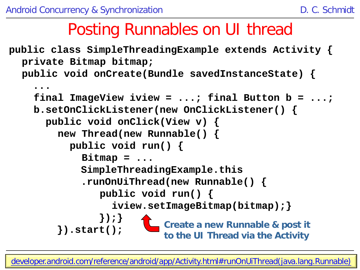### Posting Runnables on UI thread

**public class SimpleThreadingExample extends Activity { private Bitmap bitmap; public void onCreate(Bundle savedInstanceState) {**

```
 ...
 final ImageView iview = ...; final Button b = ...;
 b.setOnClickListener(new OnClickListener() {
   public void onClick(View v) {
     new Thread(new Runnable() {
       public void run() {
         Bitmap = ...
         SimpleThreadingExample.this
         .runOnUiThread(new Runnable() {
             public void run() {
               iview.setImageBitmap(bitmap);}
             });}
     }).start();
                        Create a new Runnable & post it 
                        to the UI Thread via the Activity
```
**41** [developer.android.com/reference/android/app/Activity.html#runOnUiThread\(java.lang.Runnable\)](http://developer.android.com/reference/android/app/Activity.htmlrunOnUiThread(java.lang.Runnable))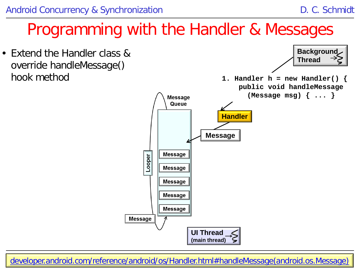### Programming with the Handler & Messages

• Extend the Handler class & override handleMessage() hook method



**42** [developer.android.com/reference/android/os/Handler.html#handleMessage\(android.os.Message\)](http://developer.android.com/reference/android/os/Handler.htmlhandleMessage(android.os.Message))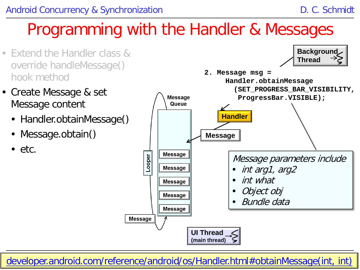### Programming with the Handler & Messages

- Extend the Handler class & override handleMessage() hook method
- Create Message & set Message content
	- Handler.obtainMessage()
	- Message.obtain()
	- $\bullet$  etc.



**43** [developer.android.com/reference/android/os/Handler.html#obtainMessage\(int, int\)](http://developer.android.com/reference/android/os/Handler.htmlobtainMessage(int, int, int, java.lang.Object))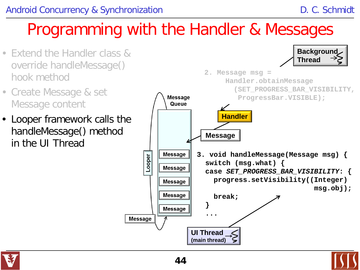### Programming with the Handler & Messages

- Extend the Handler class & override handleMessage() hook method
- Create Message & set Message content
- Looper framework calls the handleMessage() method in the UI Thread



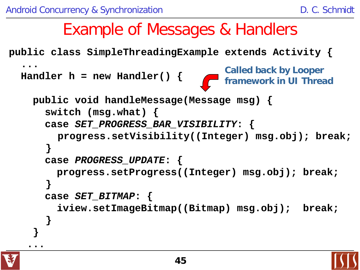#### **public class SimpleThreadingExample extends Activity { ... Handler h = new Handler() { public void handleMessage(Message msg) { switch (msg.what) { case** *SET\_PROGRESS\_BAR\_VISIBILITY***: { progress.setVisibility((Integer) msg.obj); break; } case** *PROGRESS\_UPDATE***: { progress.setProgress((Integer) msg.obj); break; } case** *SET\_BITMAP***: { iview.setImageBitmap((Bitmap) msg.obj); break; } } .**.. Example of Messages & Handlers **Called back by Looper framework in UI Thread**

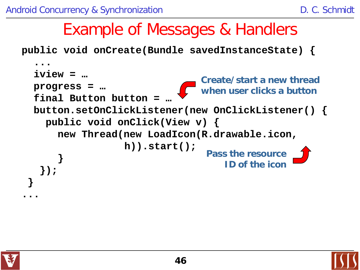### Example of Messages & Handlers

 **public void onCreate(Bundle savedInstanceState) {**

```
......
      iview = …
      progress = …
      final Button button = …
      button.setOnClickListener(new OnClickListener() {
        public void onClick(View v) {
          new Thread(new LoadIcon(R.drawable.icon, 
                      h)).start();
 }
 });
 }
  ...
                                   Create/start a new thread 
                                   when user clicks a button
                                    Pass the resource 
                                        ID of the icon
```
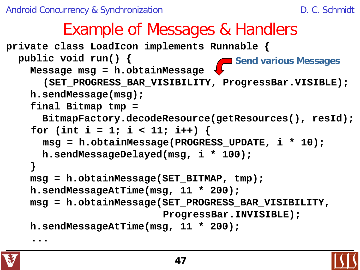### Example of Messages & Handlers

```
private class LoadIcon implements Runnable {
   public void run() {
     Message msg = h.obtainMessage
       (SET_PROGRESS_BAR_VISIBILITY, ProgressBar.VISIBLE);
     h.sendMessage(msg);
     final Bitmap tmp = 
       BitmapFactory.decodeResource(getResources(), resId);
     for (int i = 1; i < 11; i++) {
       msg = h.obtainMessage(PROGRESS_UPDATE, i * 10);
       h.sendMessageDelayed(msg, i * 100);
     }
     msg = h.obtainMessage(SET_BITMAP, tmp);
     h.sendMessageAtTime(msg, 11 * 200);
     msg = h.obtainMessage(SET_PROGRESS_BAR_VISIBILITY, 
                            ProgressBar.INVISIBLE);
     h.sendMessageAtTime(msg, 11 * 200);
                                        Send various Messages
```
**...** 

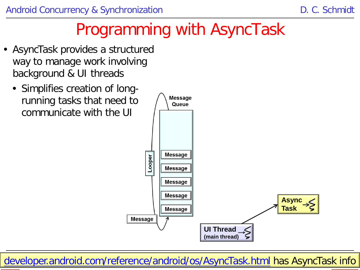### Programming with AsyncTask

- AsyncTask provides a structured way to manage work involving background & UI threads
	- Simplifies creation of longrunning tasks that need to communicate with the UI



**48** [developer.android.com/reference/android/os/AsyncTask.html](http://developer.android.com/reference/android/os/AsyncTask.html) has AsyncTask info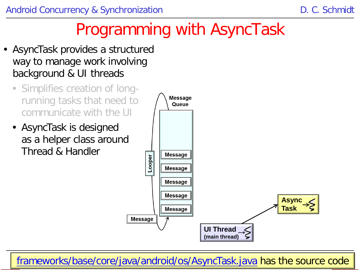## Programming with AsyncTask

- AsyncTask provides a structured way to manage work involving background & UI threads
	- Simplifies creation of longrunning tasks that need to communicate with the UI
	- AsyncTask is designed as a helper class around Thread & Handler



**49** [frameworks/base/core/java/android/os/AsyncTask.java](http://developer.android.com/reference/android/os/AsyncTask.html) has the source code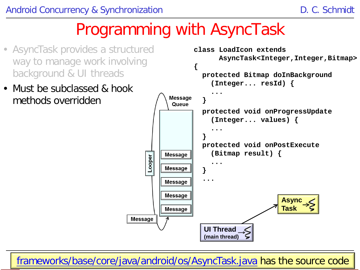### Programming with AsyncTask

- AsyncTask provides a structured way to manage work involving background & UI threads
- Must be subclassed & hook methods overridden



**50** [frameworks/base/core/java/android/os/AsyncTask.java](http://developer.android.com/reference/android/os/AsyncTask.html) has the source code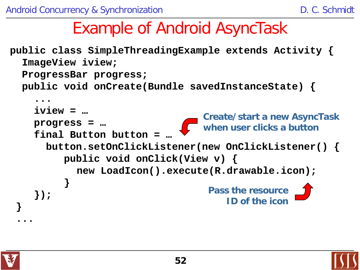### Example of Android AsyncTask

**public class SimpleThreadingExample extends Activity { ImageView iview; ProgressBar progress; public void onCreate(Bundle savedInstanceState) { ...... iview = … progress = … final Button button = … button.setOnClickListener(new OnClickListener() { public void onClick(View v) { new LoadIcon().execute(R.drawable.icon); } }); } ... Create/start a new AsyncTask when user clicks a button Pass the resource ID of the icon**



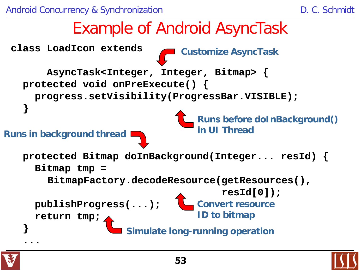



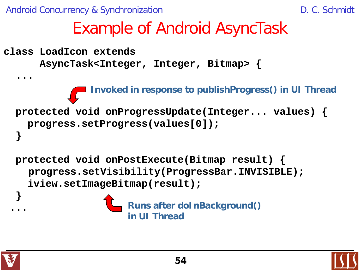### Example of Android AsyncTask

```
class LoadIcon extends 
       AsyncTask<Integer, Integer, Bitmap> {
  ...
   protected void onProgressUpdate(Integer... values) {
     progress.setProgress(values[0]);
 }
   protected void onPostExecute(Bitmap result) {
     progress.setVisibility(ProgressBar.INVISIBLE);
     iview.setImageBitmap(result);
  }
 ...
                Invoked in response to publishProgress() in UI Thread
                      Runs after doInBackground()
                      in UI Thread
```
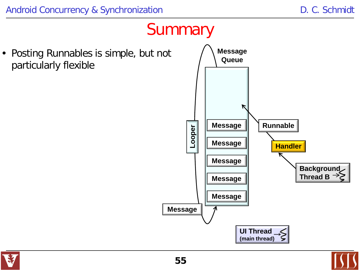• Posting Runnables is simple, but not particularly flexible



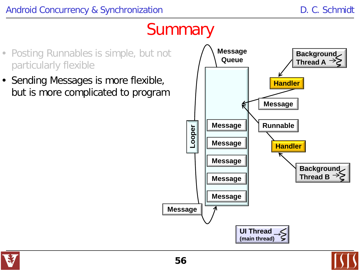- Posting Runnables is simple, but not particularly flexible
- Sending Messages is more flexible, but is more complicated to program